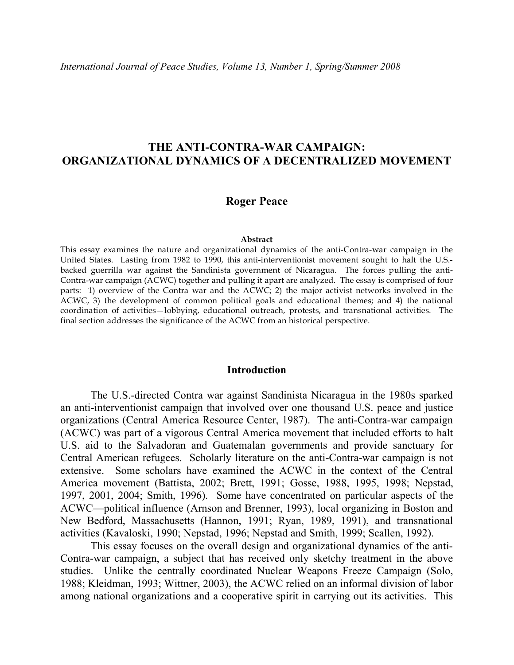# **THE ANTI-CONTRA-WAR CAMPAIGN: ORGANIZATIONAL DYNAMICS OF A DECENTRALIZED MOVEMENT**

#### **Roger Peace**

#### **Abstract**

This essay examines the nature and organizational dynamics of the anti-Contra-war campaign in the United States. Lasting from 1982 to 1990, this anti-interventionist movement sought to halt the U.S. backed guerrilla war against the Sandinista government of Nicaragua. The forces pulling the anti-Contra-war campaign (ACWC) together and pulling it apart are analyzed. The essay is comprised of four parts: 1) overview of the Contra war and the ACWC; 2) the major activist networks involved in the ACWC, 3) the development of common political goals and educational themes; and 4) the national coordination of activities—lobbying, educational outreach, protests, and transnational activities. The final section addresses the significance of the ACWC from an historical perspective.

#### **Introduction**

The U.S.-directed Contra war against Sandinista Nicaragua in the 1980s sparked an anti-interventionist campaign that involved over one thousand U.S. peace and justice organizations (Central America Resource Center, 1987). The anti-Contra-war campaign (ACWC) was part of a vigorous Central America movement that included efforts to halt U.S. aid to the Salvadoran and Guatemalan governments and provide sanctuary for Central American refugees. Scholarly literature on the anti-Contra-war campaign is not extensive. Some scholars have examined the ACWC in the context of the Central America movement (Battista, 2002; Brett, 1991; Gosse, 1988, 1995, 1998; Nepstad, 1997, 2001, 2004; Smith, 1996). Some have concentrated on particular aspects of the ACWC—political influence (Arnson and Brenner, 1993), local organizing in Boston and New Bedford, Massachusetts (Hannon, 1991; Ryan, 1989, 1991), and transnational activities (Kavaloski, 1990; Nepstad, 1996; Nepstad and Smith, 1999; Scallen, 1992).

This essay focuses on the overall design and organizational dynamics of the anti-Contra-war campaign, a subject that has received only sketchy treatment in the above studies. Unlike the centrally coordinated Nuclear Weapons Freeze Campaign (Solo, 1988; Kleidman, 1993; Wittner, 2003), the ACWC relied on an informal division of labor among national organizations and a cooperative spirit in carrying out its activities. This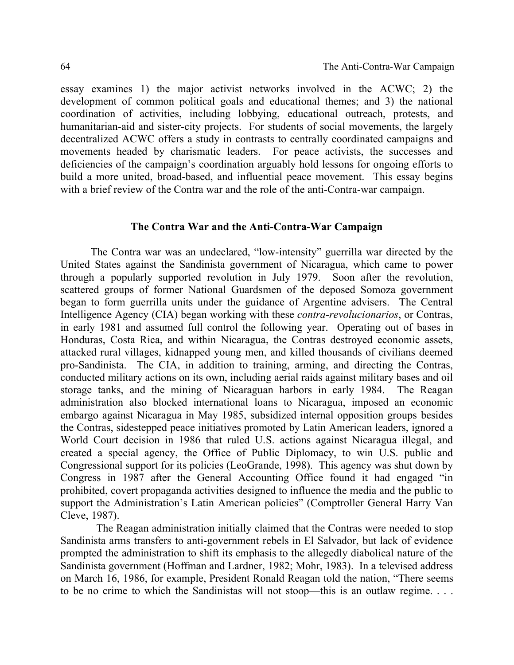essay examines 1) the major activist networks involved in the ACWC; 2) the development of common political goals and educational themes; and 3) the national coordination of activities, including lobbying, educational outreach, protests, and humanitarian-aid and sister-city projects. For students of social movements, the largely decentralized ACWC offers a study in contrasts to centrally coordinated campaigns and movements headed by charismatic leaders. For peace activists, the successes and deficiencies of the campaign's coordination arguably hold lessons for ongoing efforts to build a more united, broad-based, and influential peace movement. This essay begins with a brief review of the Contra war and the role of the anti-Contra-war campaign.

#### **The Contra War and the Anti-Contra-War Campaign**

The Contra war was an undeclared, "low-intensity" guerrilla war directed by the United States against the Sandinista government of Nicaragua, which came to power through a popularly supported revolution in July 1979. Soon after the revolution, scattered groups of former National Guardsmen of the deposed Somoza government began to form guerrilla units under the guidance of Argentine advisers. The Central Intelligence Agency (CIA) began working with these *contra-revolucionarios*, or Contras, in early 1981 and assumed full control the following year. Operating out of bases in Honduras, Costa Rica, and within Nicaragua, the Contras destroyed economic assets, attacked rural villages, kidnapped young men, and killed thousands of civilians deemed pro-Sandinista. The CIA, in addition to training, arming, and directing the Contras, conducted military actions on its own, including aerial raids against military bases and oil storage tanks, and the mining of Nicaraguan harbors in early 1984. The Reagan administration also blocked international loans to Nicaragua, imposed an economic embargo against Nicaragua in May 1985, subsidized internal opposition groups besides the Contras, sidestepped peace initiatives promoted by Latin American leaders, ignored a World Court decision in 1986 that ruled U.S. actions against Nicaragua illegal, and created a special agency, the Office of Public Diplomacy, to win U.S. public and Congressional support for its policies (LeoGrande, 1998). This agency was shut down by Congress in 1987 after the General Accounting Office found it had engaged "in prohibited, covert propaganda activities designed to influence the media and the public to support the Administration's Latin American policies" (Comptroller General Harry Van Cleve, 1987).

The Reagan administration initially claimed that the Contras were needed to stop Sandinista arms transfers to anti-government rebels in El Salvador, but lack of evidence prompted the administration to shift its emphasis to the allegedly diabolical nature of the Sandinista government (Hoffman and Lardner, 1982; Mohr, 1983). In a televised address on March 16, 1986, for example, President Ronald Reagan told the nation, "There seems to be no crime to which the Sandinistas will not stoop—this is an outlaw regime. . . .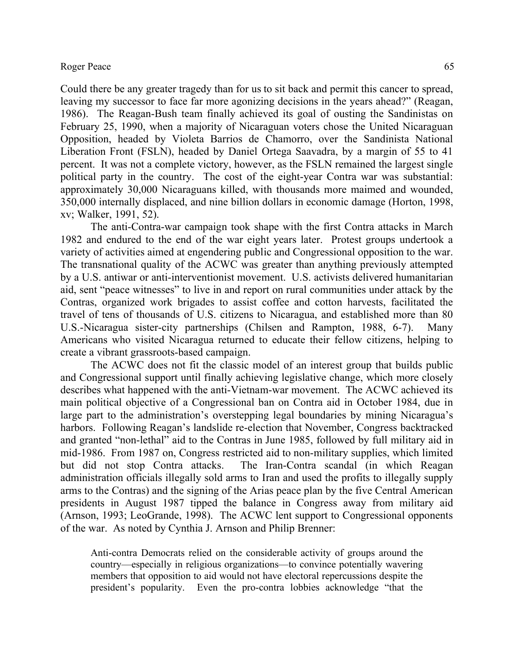Could there be any greater tragedy than for us to sit back and permit this cancer to spread, leaving my successor to face far more agonizing decisions in the years ahead?" (Reagan, 1986). The Reagan-Bush team finally achieved its goal of ousting the Sandinistas on February 25, 1990, when a majority of Nicaraguan voters chose the United Nicaraguan Opposition, headed by Violeta Barrios de Chamorro, over the Sandinista National Liberation Front (FSLN), headed by Daniel Ortega Saavadra, by a margin of 55 to 41 percent. It was not a complete victory, however, as the FSLN remained the largest single political party in the country. The cost of the eight-year Contra war was substantial: approximately 30,000 Nicaraguans killed, with thousands more maimed and wounded, 350,000 internally displaced, and nine billion dollars in economic damage (Horton, 1998, xv; Walker, 1991, 52).

The anti-Contra-war campaign took shape with the first Contra attacks in March 1982 and endured to the end of the war eight years later. Protest groups undertook a variety of activities aimed at engendering public and Congressional opposition to the war. The transnational quality of the ACWC was greater than anything previously attempted by a U.S. antiwar or anti-interventionist movement. U.S. activists delivered humanitarian aid, sent "peace witnesses" to live in and report on rural communities under attack by the Contras, organized work brigades to assist coffee and cotton harvests, facilitated the travel of tens of thousands of U.S. citizens to Nicaragua, and established more than 80 U.S.-Nicaragua sister-city partnerships (Chilsen and Rampton, 1988, 6-7). Many Americans who visited Nicaragua returned to educate their fellow citizens, helping to create a vibrant grassroots-based campaign.

The ACWC does not fit the classic model of an interest group that builds public and Congressional support until finally achieving legislative change, which more closely describes what happened with the anti-Vietnam-war movement. The ACWC achieved its main political objective of a Congressional ban on Contra aid in October 1984, due in large part to the administration's overstepping legal boundaries by mining Nicaragua's harbors. Following Reagan's landslide re-election that November, Congress backtracked and granted "non-lethal" aid to the Contras in June 1985, followed by full military aid in mid-1986. From 1987 on, Congress restricted aid to non-military supplies, which limited but did not stop Contra attacks. The Iran-Contra scandal (in which Reagan administration officials illegally sold arms to Iran and used the profits to illegally supply arms to the Contras) and the signing of the Arias peace plan by the five Central American presidents in August 1987 tipped the balance in Congress away from military aid (Arnson, 1993; LeoGrande, 1998). The ACWC lent support to Congressional opponents of the war. As noted by Cynthia J. Arnson and Philip Brenner:

Anti-contra Democrats relied on the considerable activity of groups around the country—especially in religious organizations—to convince potentially wavering members that opposition to aid would not have electoral repercussions despite the president's popularity. Even the pro-contra lobbies acknowledge "that the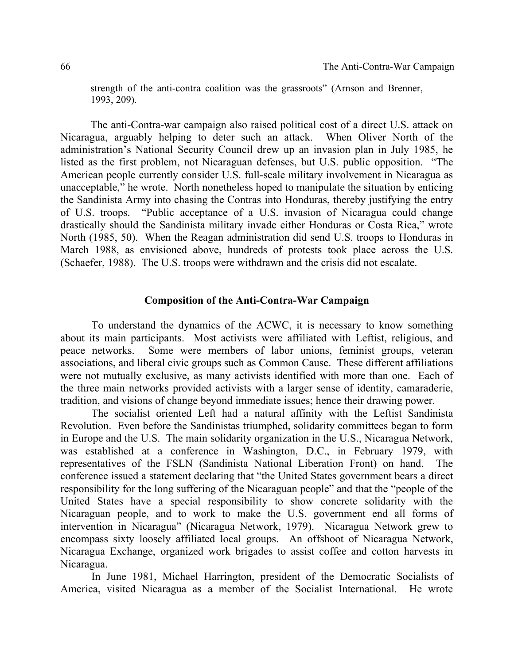strength of the anti-contra coalition was the grassroots" (Arnson and Brenner, 1993, 209).

The anti-Contra-war campaign also raised political cost of a direct U.S. attack on Nicaragua, arguably helping to deter such an attack. When Oliver North of the administration's National Security Council drew up an invasion plan in July 1985, he listed as the first problem, not Nicaraguan defenses, but U.S. public opposition. "The American people currently consider U.S. full-scale military involvement in Nicaragua as unacceptable," he wrote. North nonetheless hoped to manipulate the situation by enticing the Sandinista Army into chasing the Contras into Honduras, thereby justifying the entry of U.S. troops. "Public acceptance of a U.S. invasion of Nicaragua could change drastically should the Sandinista military invade either Honduras or Costa Rica," wrote North (1985, 50). When the Reagan administration did send U.S. troops to Honduras in March 1988, as envisioned above, hundreds of protests took place across the U.S. (Schaefer, 1988). The U.S. troops were withdrawn and the crisis did not escalate.

### **Composition of the Anti-Contra-War Campaign**

To understand the dynamics of the ACWC, it is necessary to know something about its main participants. Most activists were affiliated with Leftist, religious, and peace networks. Some were members of labor unions, feminist groups, veteran associations, and liberal civic groups such as Common Cause. These different affiliations were not mutually exclusive, as many activists identified with more than one. Each of the three main networks provided activists with a larger sense of identity, camaraderie, tradition, and visions of change beyond immediate issues; hence their drawing power.

The socialist oriented Left had a natural affinity with the Leftist Sandinista Revolution. Even before the Sandinistas triumphed, solidarity committees began to form in Europe and the U.S. The main solidarity organization in the U.S., Nicaragua Network, was established at a conference in Washington, D.C., in February 1979, with representatives of the FSLN (Sandinista National Liberation Front) on hand. The conference issued a statement declaring that "the United States government bears a direct responsibility for the long suffering of the Nicaraguan people" and that the "people of the United States have a special responsibility to show concrete solidarity with the Nicaraguan people, and to work to make the U.S. government end all forms of intervention in Nicaragua" (Nicaragua Network, 1979). Nicaragua Network grew to encompass sixty loosely affiliated local groups. An offshoot of Nicaragua Network, Nicaragua Exchange, organized work brigades to assist coffee and cotton harvests in Nicaragua.

In June 1981, Michael Harrington, president of the Democratic Socialists of America, visited Nicaragua as a member of the Socialist International. He wrote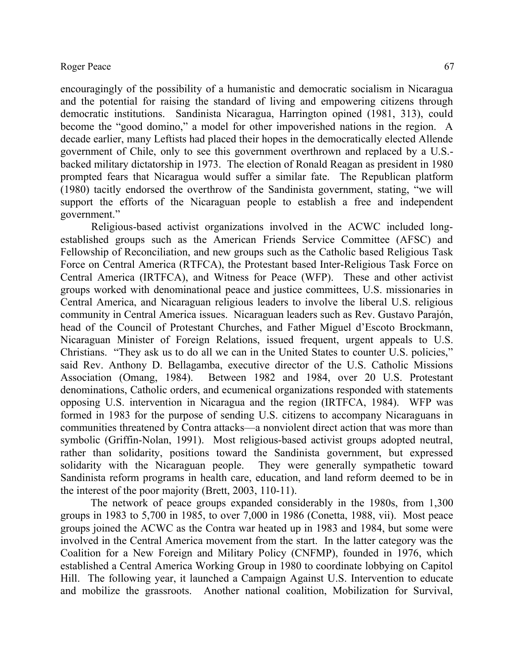encouragingly of the possibility of a humanistic and democratic socialism in Nicaragua and the potential for raising the standard of living and empowering citizens through democratic institutions. Sandinista Nicaragua, Harrington opined (1981, 313), could become the "good domino," a model for other impoverished nations in the region. A decade earlier, many Leftists had placed their hopes in the democratically elected Allende government of Chile, only to see this government overthrown and replaced by a U.S. backed military dictatorship in 1973. The election of Ronald Reagan as president in 1980 prompted fears that Nicaragua would suffer a similar fate. The Republican platform (1980) tacitly endorsed the overthrow of the Sandinista government, stating, "we will support the efforts of the Nicaraguan people to establish a free and independent government."

Religious-based activist organizations involved in the ACWC included longestablished groups such as the American Friends Service Committee (AFSC) and Fellowship of Reconciliation, and new groups such as the Catholic based Religious Task Force on Central America (RTFCA), the Protestant based Inter-Religious Task Force on Central America (IRTFCA), and Witness for Peace (WFP). These and other activist groups worked with denominational peace and justice committees, U.S. missionaries in Central America, and Nicaraguan religious leaders to involve the liberal U.S. religious community in Central America issues. Nicaraguan leaders such as Rev. Gustavo Parajón, head of the Council of Protestant Churches, and Father Miguel d'Escoto Brockmann, Nicaraguan Minister of Foreign Relations, issued frequent, urgent appeals to U.S. Christians. "They ask us to do all we can in the United States to counter U.S. policies," said Rev. Anthony D. Bellagamba, executive director of the U.S. Catholic Missions Association (Omang, 1984). Between 1982 and 1984, over 20 U.S. Protestant denominations, Catholic orders, and ecumenical organizations responded with statements opposing U.S. intervention in Nicaragua and the region (IRTFCA, 1984). WFP was formed in 1983 for the purpose of sending U.S. citizens to accompany Nicaraguans in communities threatened by Contra attacks—a nonviolent direct action that was more than symbolic (Griffin-Nolan, 1991). Most religious-based activist groups adopted neutral, rather than solidarity, positions toward the Sandinista government, but expressed solidarity with the Nicaraguan people. They were generally sympathetic toward Sandinista reform programs in health care, education, and land reform deemed to be in the interest of the poor majority (Brett, 2003, 110-11).

The network of peace groups expanded considerably in the 1980s, from 1,300 groups in 1983 to 5,700 in 1985, to over 7,000 in 1986 (Conetta, 1988, vii). Most peace groups joined the ACWC as the Contra war heated up in 1983 and 1984, but some were involved in the Central America movement from the start. In the latter category was the Coalition for a New Foreign and Military Policy (CNFMP), founded in 1976, which established a Central America Working Group in 1980 to coordinate lobbying on Capitol Hill. The following year, it launched a Campaign Against U.S. Intervention to educate and mobilize the grassroots. Another national coalition, Mobilization for Survival,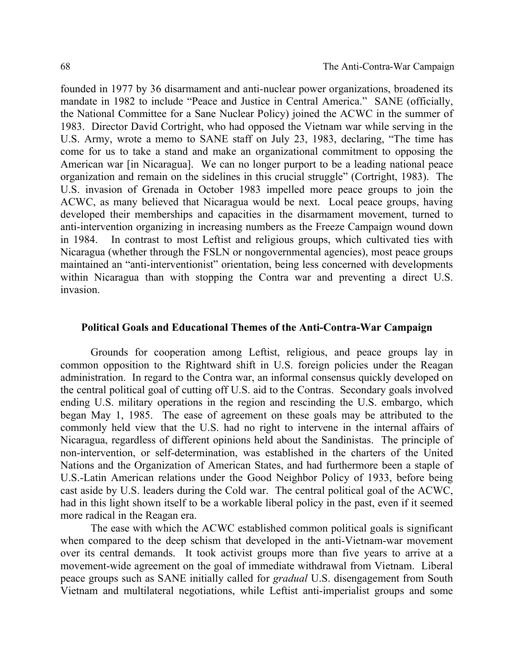founded in 1977 by 36 disarmament and anti-nuclear power organizations, broadened its mandate in 1982 to include "Peace and Justice in Central America." SANE (officially, the National Committee for a Sane Nuclear Policy) joined the ACWC in the summer of 1983. Director David Cortright, who had opposed the Vietnam war while serving in the U.S. Army, wrote a memo to SANE staff on July 23, 1983, declaring, "The time has come for us to take a stand and make an organizational commitment to opposing the American war [in Nicaragua]. We can no longer purport to be a leading national peace organization and remain on the sidelines in this crucial struggle" (Cortright, 1983). The U.S. invasion of Grenada in October 1983 impelled more peace groups to join the ACWC, as many believed that Nicaragua would be next. Local peace groups, having developed their memberships and capacities in the disarmament movement, turned to anti-intervention organizing in increasing numbers as the Freeze Campaign wound down in 1984. In contrast to most Leftist and religious groups, which cultivated ties with Nicaragua (whether through the FSLN or nongovernmental agencies), most peace groups maintained an "anti-interventionist" orientation, being less concerned with developments within Nicaragua than with stopping the Contra war and preventing a direct U.S. invasion.

#### **Political Goals and Educational Themes of the Anti-Contra-War Campaign**

Grounds for cooperation among Leftist, religious, and peace groups lay in common opposition to the Rightward shift in U.S. foreign policies under the Reagan administration. In regard to the Contra war, an informal consensus quickly developed on the central political goal of cutting off U.S. aid to the Contras. Secondary goals involved ending U.S. military operations in the region and rescinding the U.S. embargo, which began May 1, 1985. The ease of agreement on these goals may be attributed to the commonly held view that the U.S. had no right to intervene in the internal affairs of Nicaragua, regardless of different opinions held about the Sandinistas. The principle of non-intervention, or self-determination, was established in the charters of the United Nations and the Organization of American States, and had furthermore been a staple of U.S.-Latin American relations under the Good Neighbor Policy of 1933, before being cast aside by U.S. leaders during the Cold war. The central political goal of the ACWC, had in this light shown itself to be a workable liberal policy in the past, even if it seemed more radical in the Reagan era.

The ease with which the ACWC established common political goals is significant when compared to the deep schism that developed in the anti-Vietnam-war movement over its central demands. It took activist groups more than five years to arrive at a movement-wide agreement on the goal of immediate withdrawal from Vietnam. Liberal peace groups such as SANE initially called for *gradual* U.S. disengagement from South Vietnam and multilateral negotiations, while Leftist anti-imperialist groups and some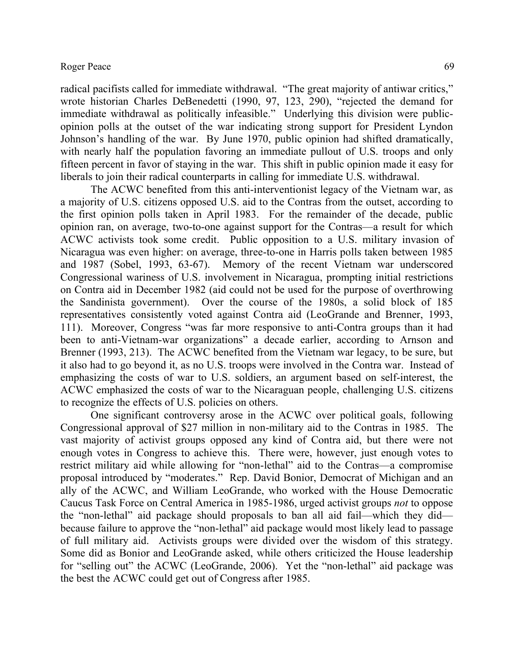radical pacifists called for immediate withdrawal. "The great majority of antiwar critics," wrote historian Charles DeBenedetti (1990, 97, 123, 290), "rejected the demand for immediate withdrawal as politically infeasible." Underlying this division were publicopinion polls at the outset of the war indicating strong support for President Lyndon Johnson's handling of the war. By June 1970, public opinion had shifted dramatically, with nearly half the population favoring an immediate pullout of U.S. troops and only fifteen percent in favor of staying in the war. This shift in public opinion made it easy for liberals to join their radical counterparts in calling for immediate U.S. withdrawal.

The ACWC benefited from this anti-interventionist legacy of the Vietnam war, as a majority of U.S. citizens opposed U.S. aid to the Contras from the outset, according to the first opinion polls taken in April 1983. For the remainder of the decade, public opinion ran, on average, two-to-one against support for the Contras—a result for which ACWC activists took some credit. Public opposition to a U.S. military invasion of Nicaragua was even higher: on average, three-to-one in Harris polls taken between 1985 and 1987 (Sobel, 1993, 63-67). Memory of the recent Vietnam war underscored Congressional wariness of U.S. involvement in Nicaragua, prompting initial restrictions on Contra aid in December 1982 (aid could not be used for the purpose of overthrowing the Sandinista government). Over the course of the 1980s, a solid block of 185 representatives consistently voted against Contra aid (LeoGrande and Brenner, 1993, 111). Moreover, Congress "was far more responsive to anti-Contra groups than it had been to anti-Vietnam-war organizations" a decade earlier, according to Arnson and Brenner (1993, 213). The ACWC benefited from the Vietnam war legacy, to be sure, but it also had to go beyond it, as no U.S. troops were involved in the Contra war. Instead of emphasizing the costs of war to U.S. soldiers, an argument based on self-interest, the ACWC emphasized the costs of war to the Nicaraguan people, challenging U.S. citizens to recognize the effects of U.S. policies on others.

One significant controversy arose in the ACWC over political goals, following Congressional approval of \$27 million in non-military aid to the Contras in 1985. The vast majority of activist groups opposed any kind of Contra aid, but there were not enough votes in Congress to achieve this. There were, however, just enough votes to restrict military aid while allowing for "non-lethal" aid to the Contras—a compromise proposal introduced by "moderates." Rep. David Bonior, Democrat of Michigan and an ally of the ACWC, and William LeoGrande, who worked with the House Democratic Caucus Task Force on Central America in 1985-1986, urged activist groups *not* to oppose the "non-lethal" aid package should proposals to ban all aid fail—which they did because failure to approve the "non-lethal" aid package would most likely lead to passage of full military aid. Activists groups were divided over the wisdom of this strategy. Some did as Bonior and LeoGrande asked, while others criticized the House leadership for "selling out" the ACWC (LeoGrande, 2006). Yet the "non-lethal" aid package was the best the ACWC could get out of Congress after 1985.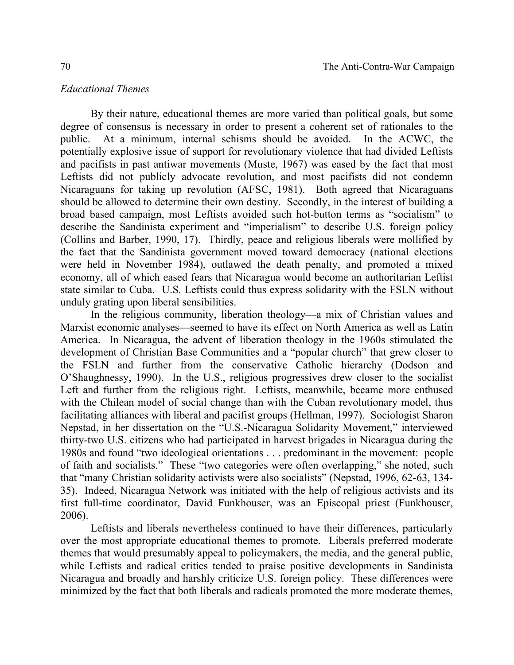### *Educational Themes*

By their nature, educational themes are more varied than political goals, but some degree of consensus is necessary in order to present a coherent set of rationales to the public. At a minimum, internal schisms should be avoided. In the ACWC, the potentially explosive issue of support for revolutionary violence that had divided Leftists and pacifists in past antiwar movements (Muste, 1967) was eased by the fact that most Leftists did not publicly advocate revolution, and most pacifists did not condemn Nicaraguans for taking up revolution (AFSC, 1981). Both agreed that Nicaraguans should be allowed to determine their own destiny. Secondly, in the interest of building a broad based campaign, most Leftists avoided such hot-button terms as "socialism" to describe the Sandinista experiment and "imperialism" to describe U.S. foreign policy (Collins and Barber, 1990, 17). Thirdly, peace and religious liberals were mollified by the fact that the Sandinista government moved toward democracy (national elections were held in November 1984), outlawed the death penalty, and promoted a mixed economy, all of which eased fears that Nicaragua would become an authoritarian Leftist state similar to Cuba. U.S. Leftists could thus express solidarity with the FSLN without unduly grating upon liberal sensibilities.

In the religious community, liberation theology—a mix of Christian values and Marxist economic analyses—seemed to have its effect on North America as well as Latin America. In Nicaragua, the advent of liberation theology in the 1960s stimulated the development of Christian Base Communities and a "popular church" that grew closer to the FSLN and further from the conservative Catholic hierarchy (Dodson and O'Shaughnessy, 1990). In the U.S., religious progressives drew closer to the socialist Left and further from the religious right. Leftists, meanwhile, became more enthused with the Chilean model of social change than with the Cuban revolutionary model, thus facilitating alliances with liberal and pacifist groups (Hellman, 1997). Sociologist Sharon Nepstad, in her dissertation on the "U.S.-Nicaragua Solidarity Movement," interviewed thirty-two U.S. citizens who had participated in harvest brigades in Nicaragua during the 1980s and found "two ideological orientations . . . predominant in the movement: people of faith and socialists." These "two categories were often overlapping," she noted, such that "many Christian solidarity activists were also socialists" (Nepstad, 1996, 62-63, 134- 35). Indeed, Nicaragua Network was initiated with the help of religious activists and its first full-time coordinator, David Funkhouser, was an Episcopal priest (Funkhouser, 2006).

Leftists and liberals nevertheless continued to have their differences, particularly over the most appropriate educational themes to promote. Liberals preferred moderate themes that would presumably appeal to policymakers, the media, and the general public, while Leftists and radical critics tended to praise positive developments in Sandinista Nicaragua and broadly and harshly criticize U.S. foreign policy. These differences were minimized by the fact that both liberals and radicals promoted the more moderate themes,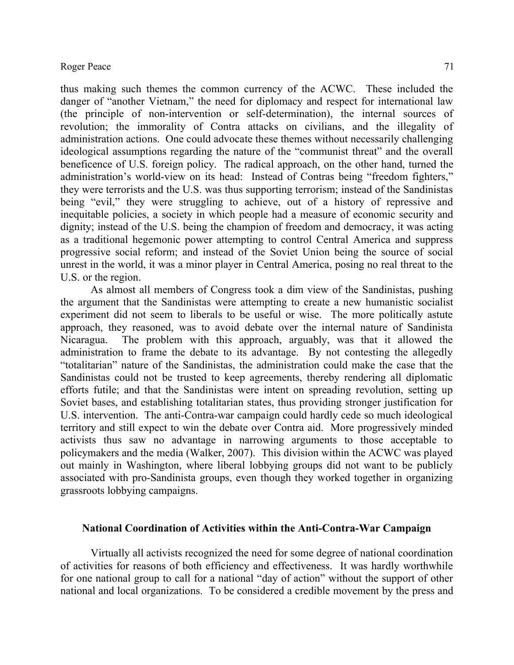thus making such themes the common currency of the ACWC. These included the danger of "another Vietnam," the need for diplomacy and respect for international law (the principle of non-intervention or self-determination), the internal sources of revolution; the immorality of Contra attacks on civilians, and the illegality of administration actions. One could advocate these themes without necessarily challenging ideological assumptions regarding the nature of the "communist threat" and the overall beneficence of U.S. foreign policy. The radical approach, on the other hand, turned the administration's world-view on its head: Instead of Contras being "freedom fighters," they were terrorists and the U.S. was thus supporting terrorism; instead of the Sandinistas being "evil," they were struggling to achieve, out of a history of repressive and inequitable policies, a society in which people had a measure of economic security and dignity; instead of the U.S. being the champion of freedom and democracy, it was acting as a traditional hegemonic power attempting to control Central America and suppress progressive social reform; and instead of the Soviet Union being the source of social unrest in the world, it was a minor player in Central America, posing no real threat to the U.S. or the region.

As almost all members of Congress took a dim view of the Sandinistas, pushing the argument that the Sandinistas were attempting to create a new humanistic socialist experiment did not seem to liberals to be useful or wise. The more politically astute approach, they reasoned, was to avoid debate over the internal nature of Sandinista Nicaragua. The problem with this approach, arguably, was that it allowed the administration to frame the debate to its advantage. By not contesting the allegedly "totalitarian" nature of the Sandinistas, the administration could make the case that the Sandinistas could not be trusted to keep agreements, thereby rendering all diplomatic efforts futile; and that the Sandinistas were intent on spreading revolution, setting up Soviet bases, and establishing totalitarian states, thus providing stronger justification for U.S. intervention. The anti-Contra-war campaign could hardly cede so much ideological territory and still expect to win the debate over Contra aid. More progressively minded activists thus saw no advantage in narrowing arguments to those acceptable to policymakers and the media (Walker, 2007). This division within the ACWC was played out mainly in Washington, where liberal lobbying groups did not want to be publicly associated with pro-Sandinista groups, even though they worked together in organizing grassroots lobbying campaigns.

#### **National Coordination of Activities within the Anti-Contra-War Campaign**

Virtually all activists recognized the need for some degree of national coordination of activities for reasons of both efficiency and effectiveness. It was hardly worthwhile for one national group to call for a national "day of action" without the support of other national and local organizations. To be considered a credible movement by the press and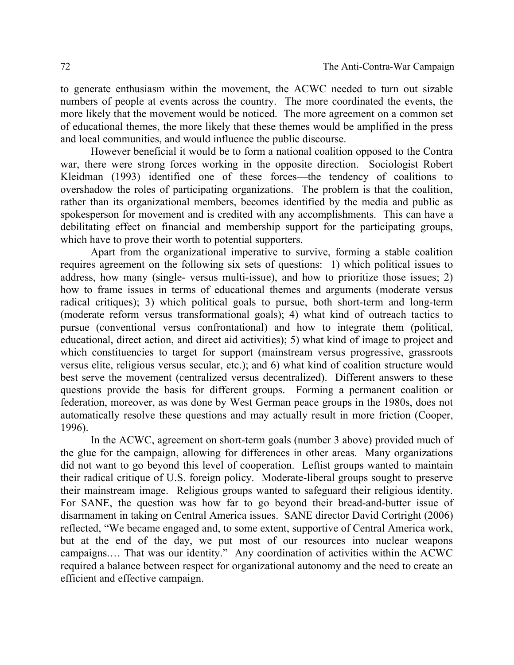to generate enthusiasm within the movement, the ACWC needed to turn out sizable numbers of people at events across the country. The more coordinated the events, the more likely that the movement would be noticed. The more agreement on a common set of educational themes, the more likely that these themes would be amplified in the press and local communities, and would influence the public discourse.

However beneficial it would be to form a national coalition opposed to the Contra war, there were strong forces working in the opposite direction. Sociologist Robert Kleidman (1993) identified one of these forces—the tendency of coalitions to overshadow the roles of participating organizations. The problem is that the coalition, rather than its organizational members, becomes identified by the media and public as spokesperson for movement and is credited with any accomplishments. This can have a debilitating effect on financial and membership support for the participating groups, which have to prove their worth to potential supporters.

Apart from the organizational imperative to survive, forming a stable coalition requires agreement on the following six sets of questions: 1) which political issues to address, how many (single- versus multi-issue), and how to prioritize those issues; 2) how to frame issues in terms of educational themes and arguments (moderate versus radical critiques); 3) which political goals to pursue, both short-term and long-term (moderate reform versus transformational goals); 4) what kind of outreach tactics to pursue (conventional versus confrontational) and how to integrate them (political, educational, direct action, and direct aid activities); 5) what kind of image to project and which constituencies to target for support (mainstream versus progressive, grassroots versus elite, religious versus secular, etc.); and 6) what kind of coalition structure would best serve the movement (centralized versus decentralized). Different answers to these questions provide the basis for different groups. Forming a permanent coalition or federation, moreover, as was done by West German peace groups in the 1980s, does not automatically resolve these questions and may actually result in more friction (Cooper, 1996).

In the ACWC, agreement on short-term goals (number 3 above) provided much of the glue for the campaign, allowing for differences in other areas. Many organizations did not want to go beyond this level of cooperation. Leftist groups wanted to maintain their radical critique of U.S. foreign policy. Moderate-liberal groups sought to preserve their mainstream image. Religious groups wanted to safeguard their religious identity. For SANE, the question was how far to go beyond their bread-and-butter issue of disarmament in taking on Central America issues. SANE director David Cortright (2006) reflected, "We became engaged and, to some extent, supportive of Central America work, but at the end of the day, we put most of our resources into nuclear weapons campaigns.… That was our identity." Any coordination of activities within the ACWC required a balance between respect for organizational autonomy and the need to create an efficient and effective campaign.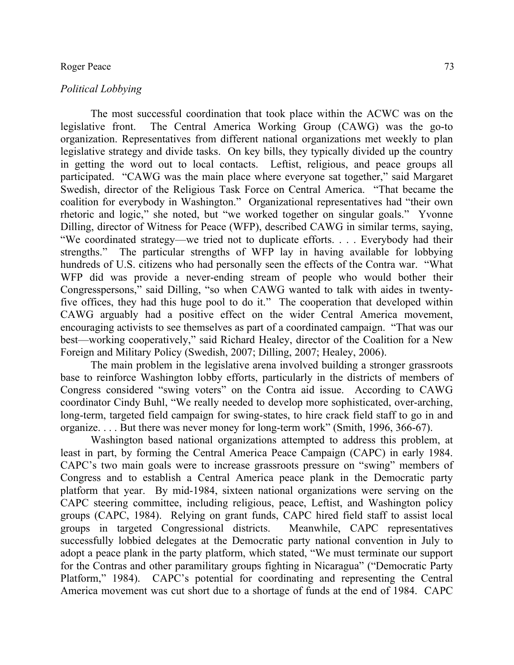#### *Political Lobbying*

The most successful coordination that took place within the ACWC was on the legislative front. The Central America Working Group (CAWG) was the go-to organization. Representatives from different national organizations met weekly to plan legislative strategy and divide tasks. On key bills, they typically divided up the country in getting the word out to local contacts. Leftist, religious, and peace groups all participated. "CAWG was the main place where everyone sat together," said Margaret Swedish, director of the Religious Task Force on Central America. "That became the coalition for everybody in Washington." Organizational representatives had "their own rhetoric and logic," she noted, but "we worked together on singular goals." Yvonne Dilling, director of Witness for Peace (WFP), described CAWG in similar terms, saying, "We coordinated strategy—we tried not to duplicate efforts. . . . Everybody had their strengths." The particular strengths of WFP lay in having available for lobbying hundreds of U.S. citizens who had personally seen the effects of the Contra war. "What WFP did was provide a never-ending stream of people who would bother their Congresspersons," said Dilling, "so when CAWG wanted to talk with aides in twentyfive offices, they had this huge pool to do it." The cooperation that developed within CAWG arguably had a positive effect on the wider Central America movement, encouraging activists to see themselves as part of a coordinated campaign. "That was our best—working cooperatively," said Richard Healey, director of the Coalition for a New Foreign and Military Policy (Swedish, 2007; Dilling, 2007; Healey, 2006).

The main problem in the legislative arena involved building a stronger grassroots base to reinforce Washington lobby efforts, particularly in the districts of members of Congress considered "swing voters" on the Contra aid issue. According to CAWG coordinator Cindy Buhl, "We really needed to develop more sophisticated, over-arching, long-term, targeted field campaign for swing-states, to hire crack field staff to go in and organize. . . . But there was never money for long-term work" (Smith, 1996, 366-67).

Washington based national organizations attempted to address this problem, at least in part, by forming the Central America Peace Campaign (CAPC) in early 1984. CAPC's two main goals were to increase grassroots pressure on "swing" members of Congress and to establish a Central America peace plank in the Democratic party platform that year. By mid-1984, sixteen national organizations were serving on the CAPC steering committee, including religious, peace, Leftist, and Washington policy groups (CAPC, 1984). Relying on grant funds, CAPC hired field staff to assist local groups in targeted Congressional districts. Meanwhile, CAPC representatives successfully lobbied delegates at the Democratic party national convention in July to adopt a peace plank in the party platform, which stated, "We must terminate our support for the Contras and other paramilitary groups fighting in Nicaragua" ("Democratic Party Platform," 1984). CAPC's potential for coordinating and representing the Central America movement was cut short due to a shortage of funds at the end of 1984. CAPC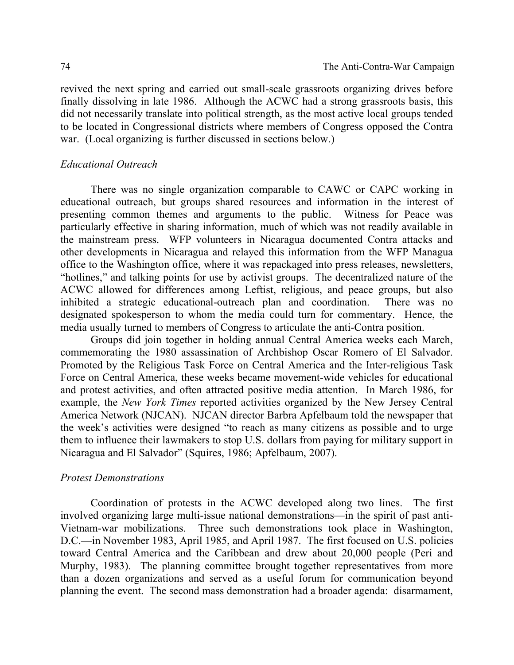revived the next spring and carried out small-scale grassroots organizing drives before finally dissolving in late 1986. Although the ACWC had a strong grassroots basis, this did not necessarily translate into political strength, as the most active local groups tended to be located in Congressional districts where members of Congress opposed the Contra war. (Local organizing is further discussed in sections below.)

## *Educational Outreach*

There was no single organization comparable to CAWC or CAPC working in educational outreach, but groups shared resources and information in the interest of presenting common themes and arguments to the public. Witness for Peace was particularly effective in sharing information, much of which was not readily available in the mainstream press. WFP volunteers in Nicaragua documented Contra attacks and other developments in Nicaragua and relayed this information from the WFP Managua office to the Washington office, where it was repackaged into press releases, newsletters, "hotlines," and talking points for use by activist groups. The decentralized nature of the ACWC allowed for differences among Leftist, religious, and peace groups, but also inhibited a strategic educational-outreach plan and coordination. There was no designated spokesperson to whom the media could turn for commentary. Hence, the media usually turned to members of Congress to articulate the anti-Contra position.

Groups did join together in holding annual Central America weeks each March, commemorating the 1980 assassination of Archbishop Oscar Romero of El Salvador. Promoted by the Religious Task Force on Central America and the Inter-religious Task Force on Central America, these weeks became movement-wide vehicles for educational and protest activities, and often attracted positive media attention. In March 1986, for example, the *New York Times* reported activities organized by the New Jersey Central America Network (NJCAN). NJCAN director Barbra Apfelbaum told the newspaper that the week's activities were designed "to reach as many citizens as possible and to urge them to influence their lawmakers to stop U.S. dollars from paying for military support in Nicaragua and El Salvador" (Squires, 1986; Apfelbaum, 2007).

### *Protest Demonstrations*

Coordination of protests in the ACWC developed along two lines. The first involved organizing large multi-issue national demonstrations—in the spirit of past anti-Vietnam-war mobilizations. Three such demonstrations took place in Washington, D.C.—in November 1983, April 1985, and April 1987. The first focused on U.S. policies toward Central America and the Caribbean and drew about 20,000 people (Peri and Murphy, 1983). The planning committee brought together representatives from more than a dozen organizations and served as a useful forum for communication beyond planning the event. The second mass demonstration had a broader agenda: disarmament,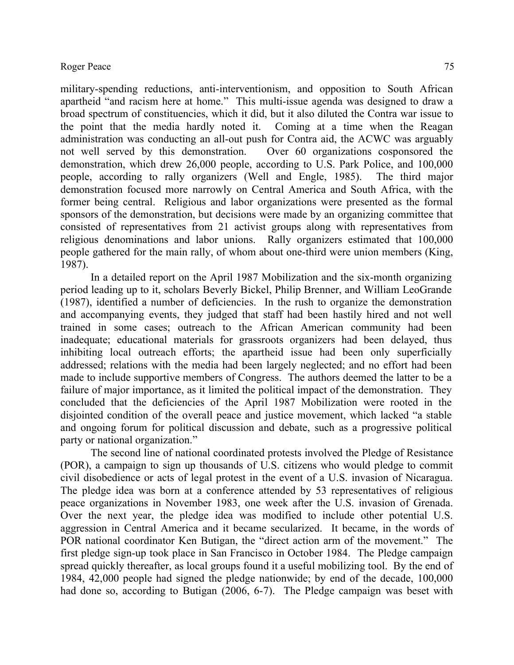military-spending reductions, anti-interventionism, and opposition to South African apartheid "and racism here at home." This multi-issue agenda was designed to draw a broad spectrum of constituencies, which it did, but it also diluted the Contra war issue to the point that the media hardly noted it. Coming at a time when the Reagan administration was conducting an all-out push for Contra aid, the ACWC was arguably not well served by this demonstration. Over 60 organizations cosponsored the demonstration, which drew 26,000 people, according to U.S. Park Police, and 100,000 people, according to rally organizers (Well and Engle, 1985). The third major demonstration focused more narrowly on Central America and South Africa, with the former being central. Religious and labor organizations were presented as the formal sponsors of the demonstration, but decisions were made by an organizing committee that consisted of representatives from 21 activist groups along with representatives from religious denominations and labor unions. Rally organizers estimated that 100,000 people gathered for the main rally, of whom about one-third were union members (King, 1987).

In a detailed report on the April 1987 Mobilization and the six-month organizing period leading up to it, scholars Beverly Bickel, Philip Brenner, and William LeoGrande (1987), identified a number of deficiencies. In the rush to organize the demonstration and accompanying events, they judged that staff had been hastily hired and not well trained in some cases; outreach to the African American community had been inadequate; educational materials for grassroots organizers had been delayed, thus inhibiting local outreach efforts; the apartheid issue had been only superficially addressed; relations with the media had been largely neglected; and no effort had been made to include supportive members of Congress. The authors deemed the latter to be a failure of major importance, as it limited the political impact of the demonstration. They concluded that the deficiencies of the April 1987 Mobilization were rooted in the disjointed condition of the overall peace and justice movement, which lacked "a stable and ongoing forum for political discussion and debate, such as a progressive political party or national organization."

The second line of national coordinated protests involved the Pledge of Resistance (POR), a campaign to sign up thousands of U.S. citizens who would pledge to commit civil disobedience or acts of legal protest in the event of a U.S. invasion of Nicaragua. The pledge idea was born at a conference attended by 53 representatives of religious peace organizations in November 1983, one week after the U.S. invasion of Grenada. Over the next year, the pledge idea was modified to include other potential U.S. aggression in Central America and it became secularized. It became, in the words of POR national coordinator Ken Butigan, the "direct action arm of the movement." The first pledge sign-up took place in San Francisco in October 1984. The Pledge campaign spread quickly thereafter, as local groups found it a useful mobilizing tool. By the end of 1984, 42,000 people had signed the pledge nationwide; by end of the decade, 100,000 had done so, according to Butigan (2006, 6-7). The Pledge campaign was beset with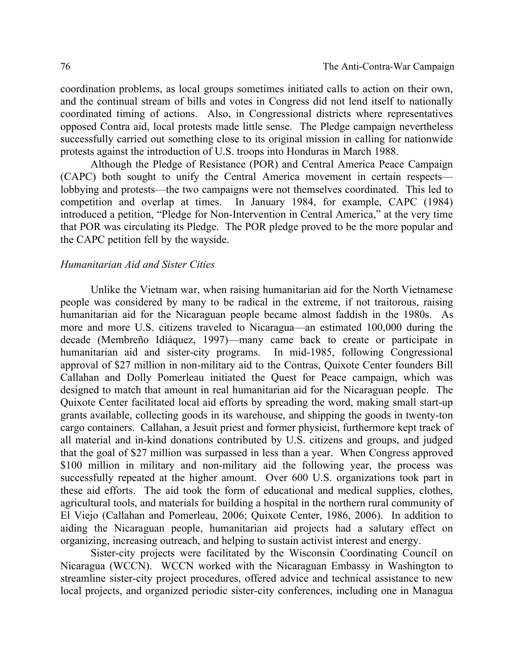coordination problems, as local groups sometimes initiated calls to action on their own, and the continual stream of bills and votes in Congress did not lend itself to nationally coordinated timing of actions. Also, in Congressional districts where representatives opposed Contra aid, local protests made little sense. The Pledge campaign nevertheless successfully carried out something close to its original mission in calling for nationwide protests against the introduction of U.S. troops into Honduras in March 1988.

Although the Pledge of Resistance (POR) and Central America Peace Campaign (CAPC) both sought to unify the Central America movement in certain respects lobbying and protests—the two campaigns were not themselves coordinated. This led to competition and overlap at times. In January 1984, for example, CAPC (1984) introduced a petition, "Pledge for Non-Intervention in Central America," at the very time that POR was circulating its Pledge. The POR pledge proved to be the more popular and the CAPC petition fell by the wayside.

#### *Humanitarian Aid and Sister Cities*

Unlike the Vietnam war, when raising humanitarian aid for the North Vietnamese people was considered by many to be radical in the extreme, if not traitorous, raising humanitarian aid for the Nicaraguan people became almost faddish in the 1980s. As more and more U.S. citizens traveled to Nicaragua—an estimated 100,000 during the decade (Membreño Idiáquez, 1997)—many came back to create or participate in humanitarian aid and sister-city programs. In mid-1985, following Congressional approval of \$27 million in non-military aid to the Contras, Quixote Center founders Bill Callahan and Dolly Pomerleau initiated the Quest for Peace campaign, which was designed to match that amount in real humanitarian aid for the Nicaraguan people. The Quixote Center facilitated local aid efforts by spreading the word, making small start-up grants available, collecting goods in its warehouse, and shipping the goods in twenty-ton cargo containers. Callahan, a Jesuit priest and former physicist, furthermore kept track of all material and in-kind donations contributed by U.S. citizens and groups, and judged that the goal of \$27 million was surpassed in less than a year. When Congress approved \$100 million in military and non-military aid the following year, the process was successfully repeated at the higher amount. Over 600 U.S. organizations took part in these aid efforts. The aid took the form of educational and medical supplies, clothes, agricultural tools, and materials for building a hospital in the northern rural community of El Viejo (Callahan and Pomerleau, 2006; Quixote Center, 1986, 2006). In addition to aiding the Nicaraguan people, humanitarian aid projects had a salutary effect on organizing, increasing outreach, and helping to sustain activist interest and energy.

Sister-city projects were facilitated by the Wisconsin Coordinating Council on Nicaragua (WCCN). WCCN worked with the Nicaraguan Embassy in Washington to streamline sister-city project procedures, offered advice and technical assistance to new local projects, and organized periodic sister-city conferences, including one in Managua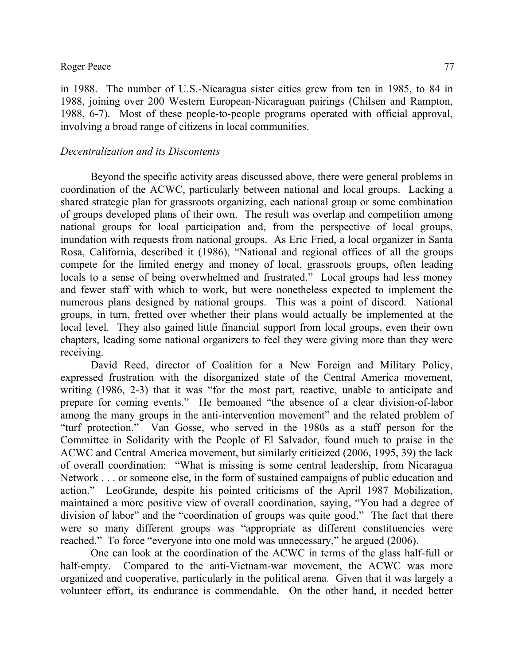in 1988. The number of U.S.-Nicaragua sister cities grew from ten in 1985, to 84 in 1988, joining over 200 Western European-Nicaraguan pairings (Chilsen and Rampton, 1988, 6-7). Most of these people-to-people programs operated with official approval, involving a broad range of citizens in local communities.

# *Decentralization and its Discontents*

Beyond the specific activity areas discussed above, there were general problems in coordination of the ACWC, particularly between national and local groups. Lacking a shared strategic plan for grassroots organizing, each national group or some combination of groups developed plans of their own. The result was overlap and competition among national groups for local participation and, from the perspective of local groups, inundation with requests from national groups. As Eric Fried, a local organizer in Santa Rosa, California, described it (1986), "National and regional offices of all the groups compete for the limited energy and money of local, grassroots groups, often leading locals to a sense of being overwhelmed and frustrated." Local groups had less money and fewer staff with which to work, but were nonetheless expected to implement the numerous plans designed by national groups. This was a point of discord. National groups, in turn, fretted over whether their plans would actually be implemented at the local level. They also gained little financial support from local groups, even their own chapters, leading some national organizers to feel they were giving more than they were receiving.

David Reed, director of Coalition for a New Foreign and Military Policy, expressed frustration with the disorganized state of the Central America movement, writing (1986, 2-3) that it was "for the most part, reactive, unable to anticipate and prepare for coming events." He bemoaned "the absence of a clear division-of-labor among the many groups in the anti-intervention movement" and the related problem of "turf protection." Van Gosse, who served in the 1980s as a staff person for the Committee in Solidarity with the People of El Salvador, found much to praise in the ACWC and Central America movement, but similarly criticized (2006, 1995, 39) the lack of overall coordination: "What is missing is some central leadership, from Nicaragua Network . . . or someone else, in the form of sustained campaigns of public education and action." LeoGrande, despite his pointed criticisms of the April 1987 Mobilization, maintained a more positive view of overall coordination, saying, "You had a degree of division of labor" and the "coordination of groups was quite good." The fact that there were so many different groups was "appropriate as different constituencies were reached." To force "everyone into one mold was unnecessary," he argued (2006).

One can look at the coordination of the ACWC in terms of the glass half-full or half-empty. Compared to the anti-Vietnam-war movement, the ACWC was more organized and cooperative, particularly in the political arena. Given that it was largely a volunteer effort, its endurance is commendable. On the other hand, it needed better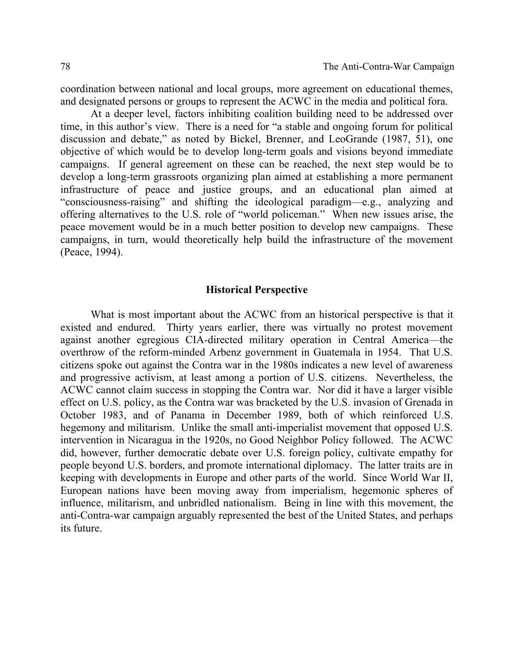coordination between national and local groups, more agreement on educational themes, and designated persons or groups to represent the ACWC in the media and political fora.

At a deeper level, factors inhibiting coalition building need to be addressed over time, in this author's view. There is a need for "a stable and ongoing forum for political discussion and debate," as noted by Bickel, Brenner, and LeoGrande (1987, 51), one objective of which would be to develop long-term goals and visions beyond immediate campaigns. If general agreement on these can be reached, the next step would be to develop a long-term grassroots organizing plan aimed at establishing a more permanent infrastructure of peace and justice groups, and an educational plan aimed at "consciousness-raising" and shifting the ideological paradigm—e.g., analyzing and offering alternatives to the U.S. role of "world policeman." When new issues arise, the peace movement would be in a much better position to develop new campaigns. These campaigns, in turn, would theoretically help build the infrastructure of the movement (Peace, 1994).

### **Historical Perspective**

What is most important about the ACWC from an historical perspective is that it existed and endured. Thirty years earlier, there was virtually no protest movement against another egregious CIA-directed military operation in Central America—the overthrow of the reform-minded Arbenz government in Guatemala in 1954. That U.S. citizens spoke out against the Contra war in the 1980s indicates a new level of awareness and progressive activism, at least among a portion of U.S. citizens. Nevertheless, the ACWC cannot claim success in stopping the Contra war. Nor did it have a larger visible effect on U.S. policy, as the Contra war was bracketed by the U.S. invasion of Grenada in October 1983, and of Panama in December 1989, both of which reinforced U.S. hegemony and militarism. Unlike the small anti-imperialist movement that opposed U.S. intervention in Nicaragua in the 1920s, no Good Neighbor Policy followed. The ACWC did, however, further democratic debate over U.S. foreign policy, cultivate empathy for people beyond U.S. borders, and promote international diplomacy. The latter traits are in keeping with developments in Europe and other parts of the world. Since World War II, European nations have been moving away from imperialism, hegemonic spheres of influence, militarism, and unbridled nationalism. Being in line with this movement, the anti-Contra-war campaign arguably represented the best of the United States, and perhaps its future.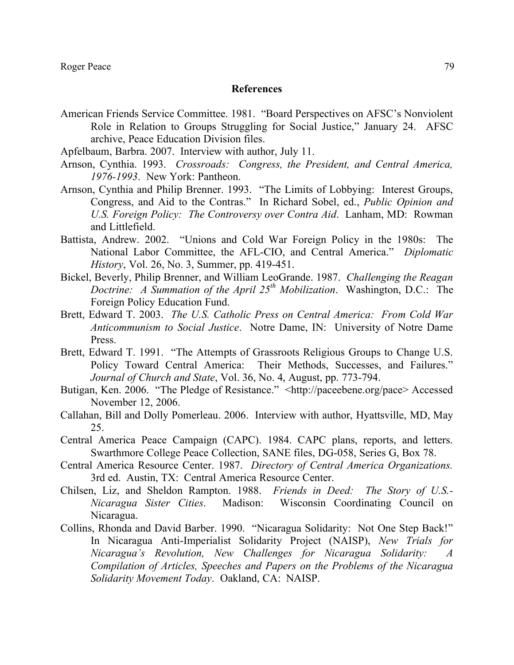### **References**

- American Friends Service Committee. 1981. "Board Perspectives on AFSC's Nonviolent Role in Relation to Groups Struggling for Social Justice," January 24. AFSC archive, Peace Education Division files.
- Apfelbaum, Barbra. 2007. Interview with author, July 11.
- Arnson, Cynthia. 1993. *Crossroads: Congress, the President, and Central America, 1976-1993*. New York: Pantheon.
- Arnson, Cynthia and Philip Brenner. 1993. "The Limits of Lobbying: Interest Groups, Congress, and Aid to the Contras." In Richard Sobel, ed., *Public Opinion and U.S. Foreign Policy: The Controversy over Contra Aid*. Lanham, MD: Rowman and Littlefield.
- Battista, Andrew. 2002. "Unions and Cold War Foreign Policy in the 1980s: The National Labor Committee, the AFL-CIO, and Central America." *Diplomatic History*, Vol. 26, No. 3, Summer, pp. 419-451.
- Bickel, Beverly, Philip Brenner, and William LeoGrande. 1987. *Challenging the Reagan Doctrine: A Summation of the April 25th Mobilization*. Washington, D.C.: The Foreign Policy Education Fund.
- Brett, Edward T. 2003. *The U.S. Catholic Press on Central America: From Cold War Anticommunism to Social Justice*. Notre Dame, IN: University of Notre Dame Press.
- Brett, Edward T. 1991. "The Attempts of Grassroots Religious Groups to Change U.S. Policy Toward Central America: Their Methods, Successes, and Failures." *Journal of Church and State*, Vol. 36, No. 4, August, pp. 773-794.
- Butigan, Ken. 2006. "The Pledge of Resistance." <http://paceebene.org/pace> Accessed November 12, 2006.
- Callahan, Bill and Dolly Pomerleau. 2006. Interview with author, Hyattsville, MD, May 25.
- Central America Peace Campaign (CAPC). 1984. CAPC plans, reports, and letters. Swarthmore College Peace Collection, SANE files, DG-058, Series G, Box 78.
- Central America Resource Center. 1987. *Directory of Central America Organizations.* 3rd ed. Austin, TX: Central America Resource Center.
- Chilsen, Liz, and Sheldon Rampton. 1988. *Friends in Deed: The Story of U.S.- Nicaragua Sister Cities*. Madison: Wisconsin Coordinating Council on Nicaragua.
- Collins, Rhonda and David Barber. 1990. "Nicaragua Solidarity: Not One Step Back!" In Nicaragua Anti-Imperialist Solidarity Project (NAISP), *New Trials for Nicaragua's Revolution, New Challenges for Nicaragua Solidarity: A Compilation of Articles, Speeches and Papers on the Problems of the Nicaragua Solidarity Movement Today*. Oakland, CA: NAISP.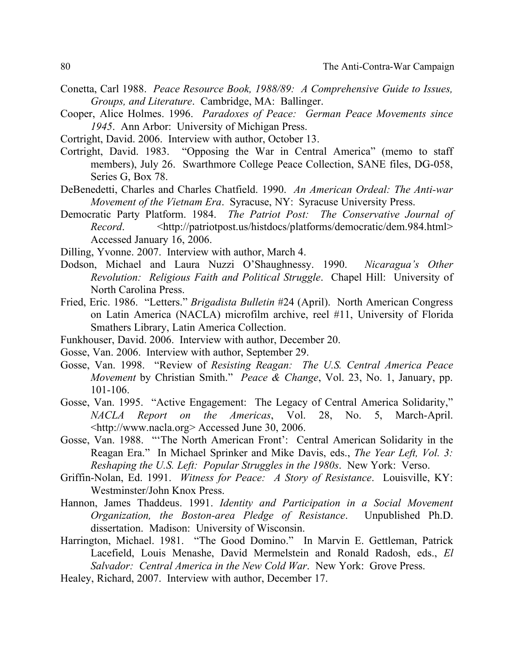- Conetta, Carl 1988. *Peace Resource Book, 1988/89: A Comprehensive Guide to Issues, Groups, and Literature*. Cambridge, MA: Ballinger.
- Cooper, Alice Holmes. 1996. *Paradoxes of Peace: German Peace Movements since 1945*. Ann Arbor: University of Michigan Press.
- Cortright, David. 2006. Interview with author, October 13.
- Cortright, David. 1983. "Opposing the War in Central America" (memo to staff members), July 26. Swarthmore College Peace Collection, SANE files, DG-058, Series G, Box 78.
- DeBenedetti, Charles and Charles Chatfield. 1990. *An American Ordeal: The Anti-war Movement of the Vietnam Era*. Syracuse, NY: Syracuse University Press.
- Democratic Party Platform. 1984. *The Patriot Post: The Conservative Journal of Record*. <http://patriotpost.us/histdocs/platforms/democratic/dem.984.html> Accessed January 16, 2006.
- Dilling, Yvonne. 2007. Interview with author, March 4.
- Dodson, Michael and Laura Nuzzi O'Shaughnessy. 1990. *Nicaragua's Other Revolution: Religious Faith and Political Struggle*. Chapel Hill: University of North Carolina Press.
- Fried, Eric. 1986. "Letters." *Brigadista Bulletin* #24 (April). North American Congress on Latin America (NACLA) microfilm archive, reel #11, University of Florida Smathers Library, Latin America Collection.
- Funkhouser, David. 2006. Interview with author, December 20.
- Gosse, Van. 2006. Interview with author, September 29.
- Gosse, Van. 1998. "Review of *Resisting Reagan: The U.S. Central America Peace Movement* by Christian Smith." *Peace & Change*, Vol. 23, No. 1, January, pp. 101-106.
- Gosse, Van. 1995. "Active Engagement: The Legacy of Central America Solidarity," *NACLA Report on the Americas*, Vol. 28, No. 5, March-April. <http://www.nacla.org> Accessed June 30, 2006.
- Gosse, Van. 1988. "'The North American Front': Central American Solidarity in the Reagan Era." In Michael Sprinker and Mike Davis, eds., *The Year Left, Vol. 3: Reshaping the U.S. Left: Popular Struggles in the 1980s*. New York: Verso.
- Griffin-Nolan, Ed. 1991. *Witness for Peace: A Story of Resistance*. Louisville, KY: Westminster/John Knox Press.
- Hannon, James Thaddeus. 1991. *Identity and Participation in a Social Movement Organization, the Boston-area Pledge of Resistance*. Unpublished Ph.D. dissertation. Madison: University of Wisconsin.
- Harrington, Michael. 1981. "The Good Domino." In Marvin E. Gettleman, Patrick Lacefield, Louis Menashe, David Mermelstein and Ronald Radosh, eds., *El Salvador: Central America in the New Cold War*. New York: Grove Press.
- Healey, Richard, 2007. Interview with author, December 17.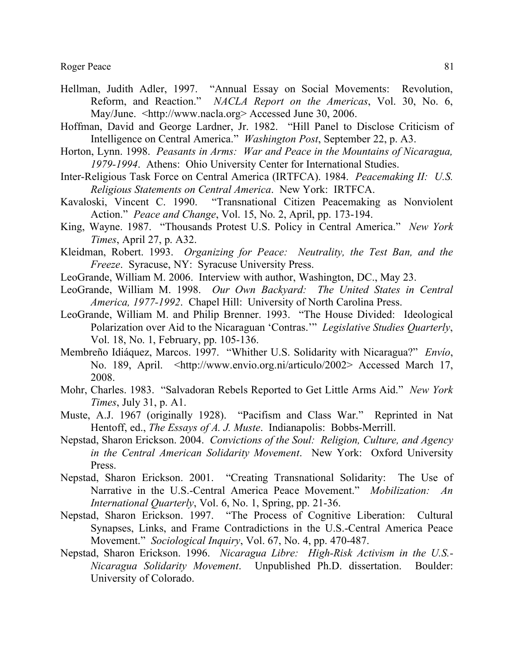- Hellman, Judith Adler, 1997. "Annual Essay on Social Movements: Revolution, Reform, and Reaction." *NACLA Report on the Americas*, Vol. 30, No. 6, May/June. <http://www.nacla.org> Accessed June 30, 2006.
- Hoffman, David and George Lardner, Jr. 1982. "Hill Panel to Disclose Criticism of Intelligence on Central America." *Washington Post*, September 22, p. A3.
- Horton, Lynn. 1998. *Peasants in Arms: War and Peace in the Mountains of Nicaragua, 1979-1994*. Athens: Ohio University Center for International Studies.
- Inter-Religious Task Force on Central America (IRTFCA). 1984. *Peacemaking II: U.S. Religious Statements on Central America*. New York: IRTFCA.
- Kavaloski, Vincent C. 1990. "Transnational Citizen Peacemaking as Nonviolent Action." *Peace and Change*, Vol. 15, No. 2, April, pp. 173-194.
- King, Wayne. 1987. "Thousands Protest U.S. Policy in Central America." *New York Times*, April 27, p. A32.
- Kleidman, Robert. 1993. *Organizing for Peace: Neutrality, the Test Ban, and the Freeze*. Syracuse, NY: Syracuse University Press.
- LeoGrande, William M. 2006. Interview with author, Washington, DC., May 23.
- LeoGrande, William M. 1998. *Our Own Backyard: The United States in Central America, 1977-1992*. Chapel Hill: University of North Carolina Press.
- LeoGrande, William M. and Philip Brenner. 1993. "The House Divided: Ideological Polarization over Aid to the Nicaraguan 'Contras.'" *Legislative Studies Quarterly*, Vol. 18, No. 1, February, pp. 105-136.
- Membreño Idiáquez, Marcos. 1997. "Whither U.S. Solidarity with Nicaragua?" *Envío*, No. 189, April. <http://www.envio.org.ni/articulo/2002> Accessed March 17, 2008.
- Mohr, Charles. 1983. "Salvadoran Rebels Reported to Get Little Arms Aid." *New York Times*, July 31, p. A1.
- Muste, A.J. 1967 (originally 1928). "Pacifism and Class War." Reprinted in Nat Hentoff, ed., *The Essays of A. J. Muste*. Indianapolis: Bobbs-Merrill.
- Nepstad, Sharon Erickson. 2004. *Convictions of the Soul: Religion, Culture, and Agency in the Central American Solidarity Movement*. New York: Oxford University Press.
- Nepstad, Sharon Erickson. 2001. "Creating Transnational Solidarity: The Use of Narrative in the U.S.-Central America Peace Movement." *Mobilization: An International Quarterly*, Vol. 6, No. 1, Spring, pp. 21-36.
- Nepstad, Sharon Erickson. 1997. "The Process of Cognitive Liberation: Cultural Synapses, Links, and Frame Contradictions in the U.S.-Central America Peace Movement." *Sociological Inquiry*, Vol. 67, No. 4, pp. 470-487.
- Nepstad, Sharon Erickson. 1996. *Nicaragua Libre: High-Risk Activism in the U.S.- Nicaragua Solidarity Movement*. Unpublished Ph.D. dissertation. Boulder: University of Colorado.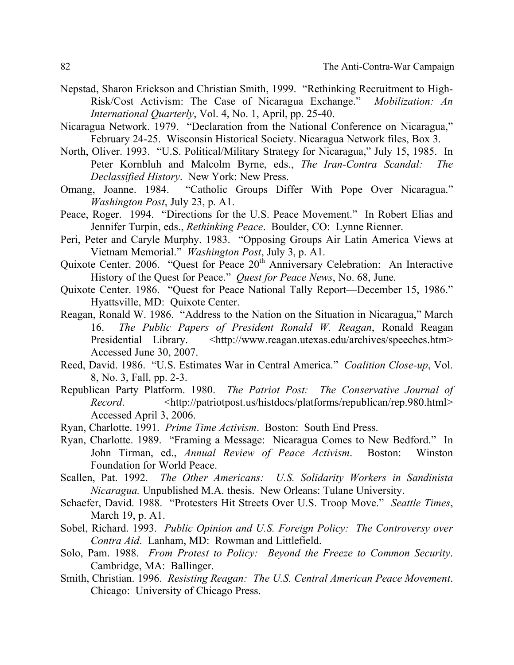- Nepstad, Sharon Erickson and Christian Smith, 1999. "Rethinking Recruitment to High-Risk/Cost Activism: The Case of Nicaragua Exchange." *Mobilization: An International Quarterly*, Vol. 4, No. 1, April, pp. 25-40.
- Nicaragua Network. 1979. "Declaration from the National Conference on Nicaragua," February 24-25. Wisconsin Historical Society. Nicaragua Network files, Box 3.
- North, Oliver. 1993. "U.S. Political/Military Strategy for Nicaragua," July 15, 1985. In Peter Kornbluh and Malcolm Byrne, eds., *The Iran-Contra Scandal: The Declassified History*. New York: New Press.
- Omang, Joanne. 1984. "Catholic Groups Differ With Pope Over Nicaragua." *Washington Post*, July 23, p. A1.
- Peace, Roger. 1994. "Directions for the U.S. Peace Movement." In Robert Elias and Jennifer Turpin, eds., *Rethinking Peace*. Boulder, CO: Lynne Rienner.
- Peri, Peter and Caryle Murphy. 1983. "Opposing Groups Air Latin America Views at Vietnam Memorial." *Washington Post*, July 3, p. A1.
- Quixote Center. 2006. "Quest for Peace 20<sup>th</sup> Anniversary Celebration: An Interactive History of the Quest for Peace." *Quest for Peace News*, No. 68, June.
- Quixote Center. 1986. "Quest for Peace National Tally Report—December 15, 1986." Hyattsville, MD: Quixote Center.
- Reagan, Ronald W. 1986. "Address to the Nation on the Situation in Nicaragua," March 16. *The Public Papers of President Ronald W. Reagan*, Ronald Reagan Presidential Library. <http://www.reagan.utexas.edu/archives/speeches.htm> Accessed June 30, 2007.
- Reed, David. 1986. "U.S. Estimates War in Central America." *Coalition Close-up*, Vol. 8, No. 3, Fall, pp. 2-3.
- Republican Party Platform. 1980. *The Patriot Post: The Conservative Journal of Record*. <http://patriotpost.us/histdocs/platforms/republican/rep.980.html> Accessed April 3, 2006.
- Ryan, Charlotte. 1991. *Prime Time Activism*. Boston: South End Press.
- Ryan, Charlotte. 1989. "Framing a Message: Nicaragua Comes to New Bedford." In John Tirman, ed., *Annual Review of Peace Activism*. Boston: Winston Foundation for World Peace.
- Scallen, Pat. 1992. *The Other Americans: U.S. Solidarity Workers in Sandinista Nicaragua.* Unpublished M.A. thesis. New Orleans: Tulane University.
- Schaefer, David. 1988. "Protesters Hit Streets Over U.S. Troop Move." *Seattle Times*, March 19, p. A1.
- Sobel, Richard. 1993. *Public Opinion and U.S. Foreign Policy: The Controversy over Contra Aid*. Lanham, MD: Rowman and Littlefield.
- Solo, Pam. 1988. *From Protest to Policy: Beyond the Freeze to Common Security*. Cambridge, MA: Ballinger.
- Smith, Christian. 1996. *Resisting Reagan: The U.S. Central American Peace Movement*. Chicago: University of Chicago Press.